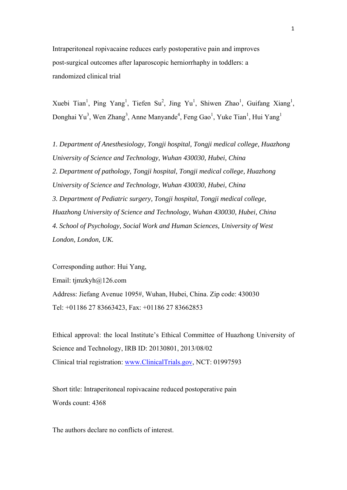Intraperitoneal ropivacaine reduces early postoperative pain and improves post-surgical outcomes after laparoscopic herniorrhaphy in toddlers: a randomized clinical trial

Xuebi Tian<sup>1</sup>, Ping Yang<sup>1</sup>, Tiefen Su<sup>2</sup>, Jing Yu<sup>1</sup>, Shiwen Zhao<sup>1</sup>, Guifang Xiang<sup>1</sup>, Donghai Yu<sup>3</sup>, Wen Zhang<sup>3</sup>, Anne Manyande<sup>4</sup>, Feng Gao<sup>1</sup>, Yuke Tian<sup>1</sup>, Hui Yang<sup>1</sup>

*1. Department of Anesthesiology, Tongji hospital, Tongji medical college, Huazhong University of Science and Technology, Wuhan 430030, Hubei, China 2. Department of pathology, Tongji hospital, Tongji medical college, Huazhong University of Science and Technology, Wuhan 430030, Hubei, China 3. Department of Pediatric surgery, Tongji hospital, Tongji medical college, Huazhong University of Science and Technology, Wuhan 430030, Hubei, China 4. School of Psychology, Social Work and Human Sciences, University of West London, London, UK.* 

Corresponding author: Hui Yang, Email: tjmzkyh@126.com Address: Jiefang Avenue 1095#, Wuhan, Hubei, China. Zip code: 430030 Tel: +01186 27 83663423, Fax: +01186 27 83662853

Ethical approval: the local Institute's Ethical Committee of Huazhong University of Science and Technology, IRB ID: 20130801, 2013/08/02 Clinical trial registration: www.ClinicalTrials.gov, NCT: 01997593

Short title: Intraperitoneal ropivacaine reduced postoperative pain Words count: 4368

The authors declare no conflicts of interest.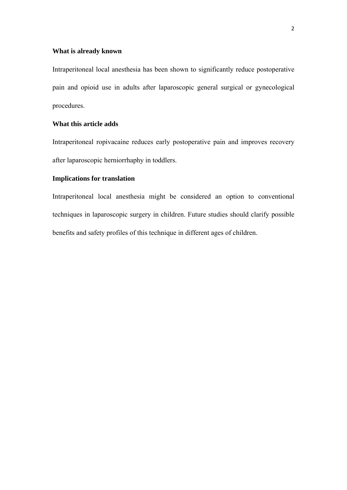## **What is already known**

Intraperitoneal local anesthesia has been shown to significantly reduce postoperative pain and opioid use in adults after laparoscopic general surgical or gynecological procedures.

# **What this article adds**

Intraperitoneal ropivacaine reduces early postoperative pain and improves recovery after laparoscopic herniorrhaphy in toddlers.

# **Implications for translation**

Intraperitoneal local anesthesia might be considered an option to conventional techniques in laparoscopic surgery in children. Future studies should clarify possible benefits and safety profiles of this technique in different ages of children.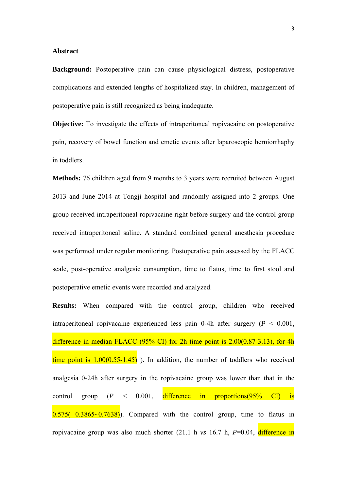#### **Abstract**

**Background:** Postoperative pain can cause physiological distress, postoperative complications and extended lengths of hospitalized stay. In children, management of postoperative pain is still recognized as being inadequate.

**Objective:** To investigate the effects of intraperitoneal ropivacaine on postoperative pain, recovery of bowel function and emetic events after laparoscopic herniorrhaphy in toddlers.

**Methods:** 76 children aged from 9 months to 3 years were recruited between August 2013 and June 2014 at Tongji hospital and randomly assigned into 2 groups. One group received intraperitoneal ropivacaine right before surgery and the control group received intraperitoneal saline. A standard combined general anesthesia procedure was performed under regular monitoring. Postoperative pain assessed by the FLACC scale, post-operative analgesic consumption, time to flatus, time to first stool and postoperative emetic events were recorded and analyzed.

**Results:** When compared with the control group, children who received intraperitoneal ropivacaine experienced less pain 0-4h after surgery  $(P < 0.001)$ , difference in median FLACC (95% CI) for 2h time point is 2.00(0.87-3.13), for 4h time point is  $1.00(0.55-1.45)$ ). In addition, the number of toddlers who received analgesia 0-24h after surgery in the ropivacaine group was lower than that in the control group  $(P \le 0.001$ , difference in proportions $(95\% \text{ CI})$  is  $0.575(-0.3865-0.7638)$ . Compared with the control group, time to flatus in ropivacaine group was also much shorter (21.1 h *vs* 16.7 h, *P*=0.04, difference in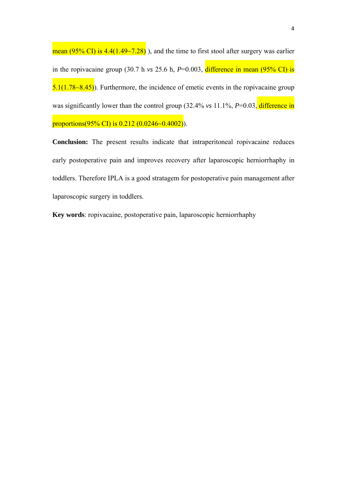mean (95% CI) is  $4.4(1.49 \sim 7.28)$ ), and the time to first stool after surgery was earlier in the ropivacaine group (30.7 h  $vs$  25.6 h,  $P=0.003$ , difference in mean (95% CI) is  $5.1(1.78~8.45)$ . Furthermore, the incidence of emetic events in the ropivacaine group was significantly lower than the control group (32.4% *vs* 11.1%, *P*=0.03, difference in proportions(95% CI) is  $0.212$  (0.0246~0.4002)).

**Conclusion:** The present results indicate that intraperitoneal ropivacaine reduces early postoperative pain and improves recovery after laparoscopic herniorrhaphy in toddlers. Therefore IPLA is a good stratagem for postoperative pain management after laparoscopic surgery in toddlers.

**Key words**: ropivacaine, postoperative pain, laparoscopic herniorrhaphy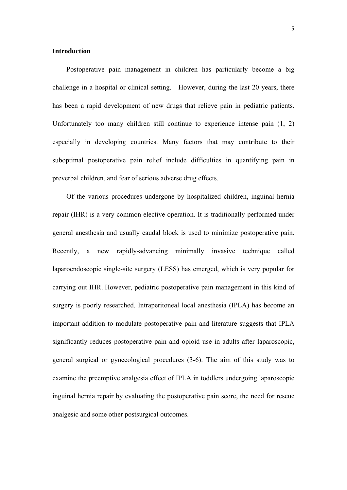## **Introduction**

Postoperative pain management in children has particularly become a big challenge in a hospital or clinical setting. However, during the last 20 years, there has been a rapid development of new drugs that relieve pain in pediatric patients. Unfortunately too many children still continue to experience intense pain (1, 2) especially in developing countries. Many factors that may contribute to their suboptimal postoperative pain relief include difficulties in quantifying pain in preverbal children, and fear of serious adverse drug effects.

Of the various procedures undergone by hospitalized children, inguinal hernia repair (IHR) is a very common elective operation. It is traditionally performed under general anesthesia and usually caudal block is used to minimize postoperative pain. Recently, a new rapidly-advancing minimally invasive technique called laparoendoscopic single-site surgery (LESS) has emerged, which is very popular for carrying out IHR. However, pediatric postoperative pain management in this kind of surgery is poorly researched. Intraperitoneal local anesthesia (IPLA) has become an important addition to modulate postoperative pain and literature suggests that IPLA significantly reduces postoperative pain and opioid use in adults after laparoscopic, general surgical or gynecological procedures (3-6). The aim of this study was to examine the preemptive analgesia effect of IPLA in toddlers undergoing laparoscopic inguinal hernia repair by evaluating the postoperative pain score, the need for rescue analgesic and some other postsurgical outcomes.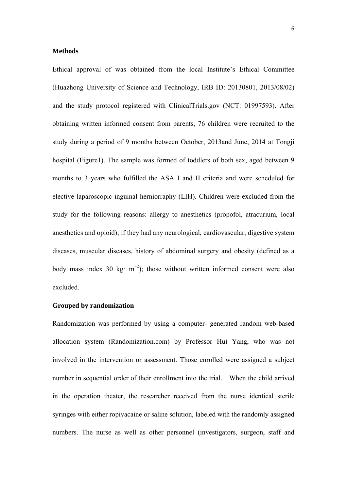## **Methods**

Ethical approval of was obtained from the local Institute's Ethical Committee (Huazhong University of Science and Technology, IRB ID: 20130801, 2013/08/02) and the study protocol registered with ClinicalTrials.gov (NCT: 01997593). After obtaining written informed consent from parents, 76 children were recruited to the study during a period of 9 months between October, 2013and June, 2014 at Tongji hospital (Figure1). The sample was formed of toddlers of both sex, aged between 9 months to 3 years who fulfilled the ASA I and II criteria and were scheduled for elective laparoscopic inguinal herniorraphy (LIH). Children were excluded from the study for the following reasons: allergy to anesthetics (propofol, atracurium, local anesthetics and opioid); if they had any neurological, cardiovascular, digestive system diseases, muscular diseases, history of abdominal surgery and obesity (defined as a body mass index 30 kg·  $m^{-2}$ ); those without written informed consent were also excluded.

#### **Grouped by randomization**

Randomization was performed by using a computer- generated random web-based allocation system (Randomization.com) by Professor Hui Yang, who was not involved in the intervention or assessment. Those enrolled were assigned a subject number in sequential order of their enrollment into the trial. When the child arrived in the operation theater, the researcher received from the nurse identical sterile syringes with either ropivacaine or saline solution, labeled with the randomly assigned numbers. The nurse as well as other personnel (investigators, surgeon, staff and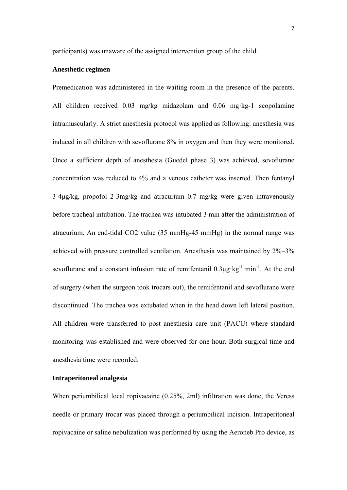participants) was unaware of the assigned intervention group of the child.

### **Anesthetic regimen**

Premedication was administered in the waiting room in the presence of the parents. All children received 0.03 mg/kg midazolam and 0.06 mg·kg-1 scopolamine intramuscularly. A strict anesthesia protocol was applied as following: anesthesia was induced in all children with sevoflurane 8% in oxygen and then they were monitored. Once a sufficient depth of anesthesia (Guedel phase 3) was achieved, sevoflurane concentration was reduced to 4% and a venous catheter was inserted. Then fentanyl 3-4μg/kg, propofol 2-3mg/kg and atracurium 0.7 mg/kg were given intravenously before tracheal intubation. The trachea was intubated 3 min after the administration of atracurium. An end-tidal CO2 value (35 mmHg-45 mmHg) in the normal range was achieved with pressure controlled ventilation. Anesthesia was maintained by 2%–3% sevoflurane and a constant infusion rate of remifentanil  $0.3\mu$ g·kg<sup>-1</sup>·min<sup>-1</sup>. At the end of surgery (when the surgeon took trocars out), the remifentanil and sevoflurane were discontinued. The trachea was extubated when in the head down left lateral position. All children were transferred to post anesthesia care unit (PACU) where standard monitoring was established and were observed for one hour. Both surgical time and anesthesia time were recorded.

### **Intraperitoneal analgesia**

When periumbilical local ropivacaine (0.25%, 2ml) infiltration was done, the Veress needle or primary trocar was placed through a periumbilical incision. Intraperitoneal ropivacaine or saline nebulization was performed by using the Aeroneb Pro device, as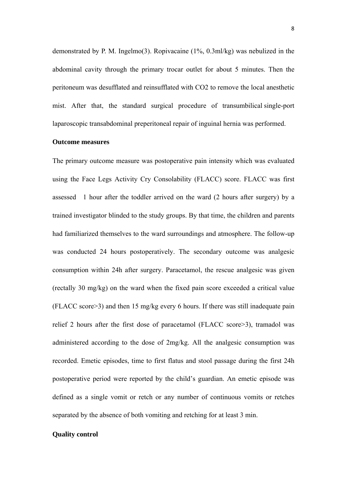demonstrated by P. M. Ingelmo(3). Ropivacaine (1%, 0.3ml/kg) was nebulized in the abdominal cavity through the primary trocar outlet for about 5 minutes. Then the peritoneum was desufflated and reinsufflated with CO2 to remove the local anesthetic mist. After that, the standard surgical procedure of transumbilical single-port laparoscopic transabdominal preperitoneal repair of inguinal hernia was performed.

### **Outcome measures**

The primary outcome measure was postoperative pain intensity which was evaluated using the Face Legs Activity Cry Consolability (FLACC) score. FLACC was first assessed 1 hour after the toddler arrived on the ward (2 hours after surgery) by a trained investigator blinded to the study groups. By that time, the children and parents had familiarized themselves to the ward surroundings and atmosphere. The follow-up was conducted 24 hours postoperatively. The secondary outcome was analgesic consumption within 24h after surgery. Paracetamol, the rescue analgesic was given (rectally 30 mg/kg) on the ward when the fixed pain score exceeded a critical value (FLACC score>3) and then 15 mg/kg every 6 hours. If there was still inadequate pain relief 2 hours after the first dose of paracetamol (FLACC score>3), tramadol was administered according to the dose of 2mg/kg. All the analgesic consumption was recorded. Emetic episodes, time to first flatus and stool passage during the first 24h postoperative period were reported by the child's guardian. An emetic episode was defined as a single vomit or retch or any number of continuous vomits or retches separated by the absence of both vomiting and retching for at least 3 min.

# **Quality control**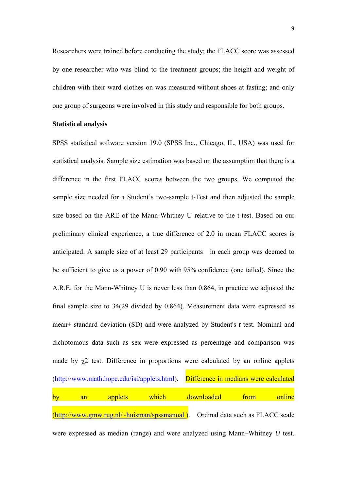Researchers were trained before conducting the study; the FLACC score was assessed by one researcher who was blind to the treatment groups; the height and weight of children with their ward clothes on was measured without shoes at fasting; and only one group of surgeons were involved in this study and responsible for both groups.

### **Statistical analysis**

SPSS statistical software version 19.0 (SPSS Inc., Chicago, IL, USA) was used for statistical analysis. Sample size estimation was based on the assumption that there is a difference in the first FLACC scores between the two groups. We computed the sample size needed for a Student's two-sample t-Test and then adjusted the sample size based on the ARE of the Mann-Whitney U relative to the t-test. Based on our preliminary clinical experience, a true difference of 2.0 in mean FLACC scores is anticipated. A sample size of at least 29 participants in each group was deemed to be sufficient to give us a power of 0.90 with 95% confidence (one tailed). Since the A.R.E. for the Mann-Whitney U is never less than 0.864, in practice we adjusted the final sample size to 34(29 divided by 0.864). Measurement data were expressed as mean± standard deviation (SD) and were analyzed by Student's *t* test. Nominal and dichotomous data such as sex were expressed as percentage and comparison was made by  $\chi$ 2 test. Difference in proportions were calculated by an online applets (http://www.math.hope.edu/isi/applets.html). Difference in medians were calculated by an applets which downloaded from online (http://www.gmw.rug.nl/~huisman/spssmanual ). Ordinal data such as FLACC scale were expressed as median (range) and were analyzed using Mann–Whitney *U* test.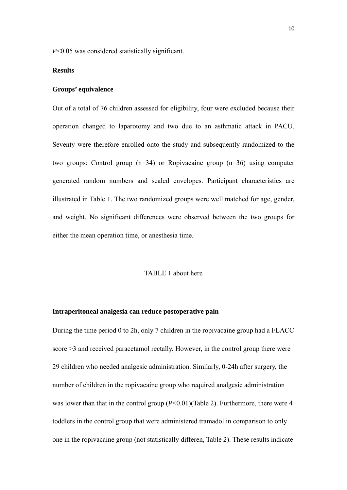*P*<0.05 was considered statistically significant.

#### **Results**

### **Groups' equivalence**

Out of a total of 76 children assessed for eligibility, four were excluded because their operation changed to laparotomy and two due to an asthmatic attack in PACU. Seventy were therefore enrolled onto the study and subsequently randomized to the two groups: Control group (n=34) or Ropivacaine group (n=36) using computer generated random numbers and sealed envelopes. Participant characteristics are illustrated in Table 1. The two randomized groups were well matched for age, gender, and weight. No significant differences were observed between the two groups for either the mean operation time, or anesthesia time.

### TABLE 1 about here

#### **Intraperitoneal analgesia can reduce postoperative pain**

During the time period 0 to 2h, only 7 children in the ropivacaine group had a FLACC score >3 and received paracetamol rectally. However, in the control group there were 29 children who needed analgesic administration. Similarly, 0-24h after surgery, the number of children in the ropivacaine group who required analgesic administration was lower than that in the control group ( $P<0.01$ )(Table 2). Furthermore, there were 4 toddlers in the control group that were administered tramadol in comparison to only one in the ropivacaine group (not statistically differen, Table 2). These results indicate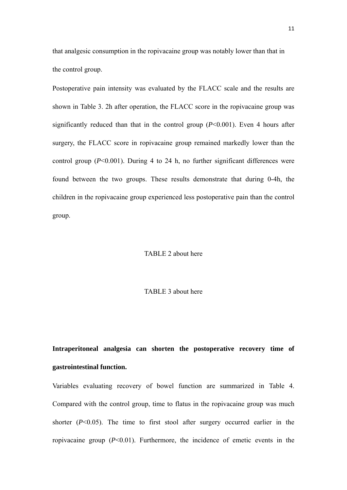that analgesic consumption in the ropivacaine group was notably lower than that in the control group.

Postoperative pain intensity was evaluated by the FLACC scale and the results are shown in Table 3. 2h after operation, the FLACC score in the ropivacaine group was significantly reduced than that in the control group (*P*<0.001). Even 4 hours after surgery, the FLACC score in ropivacaine group remained markedly lower than the control group (*P*<0.001). During 4 to 24 h, no further significant differences were found between the two groups. These results demonstrate that during 0-4h, the children in the ropivacaine group experienced less postoperative pain than the control group.

## TABLE 2 about here

### TABLE 3 about here

**Intraperitoneal analgesia can shorten the postoperative recovery time of gastrointestinal function.** 

Variables evaluating recovery of bowel function are summarized in Table 4. Compared with the control group, time to flatus in the ropivacaine group was much shorter  $(P<0.05)$ . The time to first stool after surgery occurred earlier in the ropivacaine group (*P*<0.01). Furthermore, the incidence of emetic events in the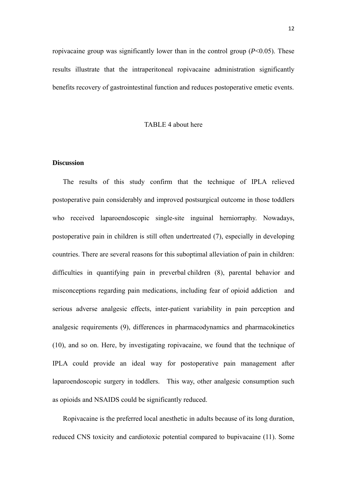ropivacaine group was significantly lower than in the control group (*P*<0.05). These results illustrate that the intraperitoneal ropivacaine administration significantly benefits recovery of gastrointestinal function and reduces postoperative emetic events.

### TABLE 4 about here

# **Discussion**

The results of this study confirm that the technique of IPLA relieved postoperative pain considerably and improved postsurgical outcome in those toddlers who received laparoendoscopic single-site inguinal herniorraphy. Nowadays, postoperative pain in children is still often undertreated (7), especially in developing countries. There are several reasons for this suboptimal alleviation of pain in children: difficulties in quantifying pain in preverbal children (8), parental behavior and misconceptions regarding pain medications, including fear of opioid addiction and serious adverse analgesic effects, inter-patient variability in pain perception and analgesic requirements (9), differences in pharmacodynamics and pharmacokinetics (10), and so on. Here, by investigating ropivacaine, we found that the technique of IPLA could provide an ideal way for postoperative pain management after laparoendoscopic surgery in toddlers. This way, other analgesic consumption such as opioids and NSAIDS could be significantly reduced.

Ropivacaine is the preferred local anesthetic in adults because of its long duration, reduced CNS toxicity and cardiotoxic potential compared to bupivacaine (11). Some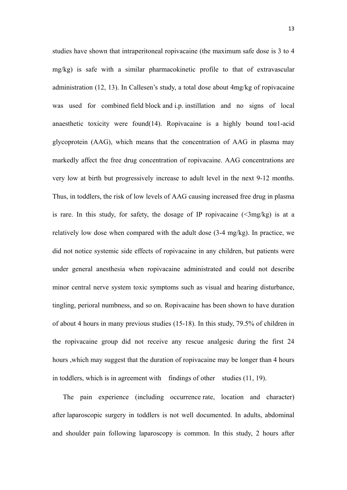studies have shown that intraperitoneal ropivacaine (the maximum safe dose is 3 to 4 mg/kg) is safe with a similar pharmacokinetic profile to that of extravascular administration (12, 13). In Callesen's study, a total dose about 4mg/kg of ropivacaine was used for combined field block and i.p. instillation and no signs of local anaesthetic toxicity were found(14). Ropivacaine is a highly bound to $\alpha$ 1-acid glycoprotein (AAG), which means that the concentration of AAG in plasma may markedly affect the free drug concentration of ropivacaine. AAG concentrations are very low at birth but progressively increase to adult level in the next 9-12 months. Thus, in toddlers, the risk of low levels of AAG causing increased free drug in plasma is rare. In this study, for safety, the dosage of IP ropivacaine  $(\leq 3mg/kg)$  is at a relatively low dose when compared with the adult dose (3-4 mg/kg). In practice, we did not notice systemic side effects of ropivacaine in any children, but patients were under general anesthesia when ropivacaine administrated and could not describe minor central nerve system toxic symptoms such as visual and hearing disturbance, tingling, perioral numbness, and so on. Ropivacaine has been shown to have duration of about 4 hours in many previous studies (15-18). In this study, 79.5% of children in the ropivacaine group did not receive any rescue analgesic during the first 24 hours ,which may suggest that the duration of ropivacaine may be longer than 4 hours in toddlers, which is in agreement with findings of other studies (11, 19).

The pain experience (including occurrence rate, location and character) after laparoscopic surgery in toddlers is not well documented. In adults, abdominal and shoulder pain following laparoscopy is common. In this study, 2 hours after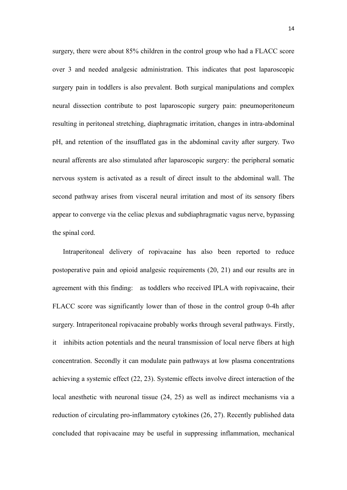surgery, there were about 85% children in the control group who had a FLACC score over 3 and needed analgesic administration. This indicates that post laparoscopic surgery pain in toddlers is also prevalent. Both surgical manipulations and complex neural dissection contribute to post laparoscopic surgery pain: pneumoperitoneum resulting in peritoneal stretching, diaphragmatic irritation, changes in intra-abdominal pH, and retention of the insufflated gas in the abdominal cavity after surgery. Two neural afferents are also stimulated after laparoscopic surgery: the peripheral somatic nervous system is activated as a result of direct insult to the abdominal wall. The second pathway arises from visceral neural irritation and most of its sensory fibers appear to converge via the celiac plexus and subdiaphragmatic vagus nerve, bypassing the spinal cord.

Intraperitoneal delivery of ropivacaine has also been reported to reduce postoperative pain and opioid analgesic requirements (20, 21) and our results are in agreement with this finding: as toddlers who received IPLA with ropivacaine, their FLACC score was significantly lower than of those in the control group 0-4h after surgery. Intraperitoneal ropivacaine probably works through several pathways. Firstly, it inhibits action potentials and the neural transmission of local nerve fibers at high concentration. Secondly it can modulate pain pathways at low plasma concentrations achieving a systemic effect (22, 23). Systemic effects involve direct interaction of the local anesthetic with neuronal tissue (24, 25) as well as indirect mechanisms via a reduction of circulating pro-inflammatory cytokines (26, 27). Recently published data concluded that ropivacaine may be useful in suppressing inflammation, mechanical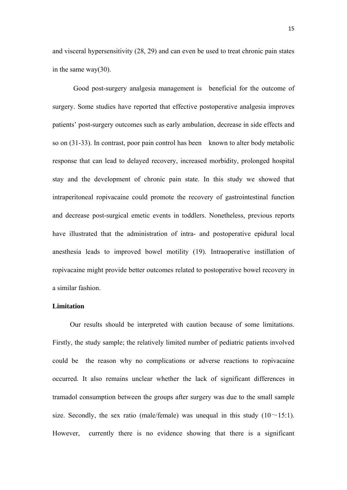and visceral hypersensitivity (28, 29) and can even be used to treat chronic pain states in the same way(30).

 Good post-surgery analgesia management is beneficial for the outcome of surgery. Some studies have reported that effective postoperative analgesia improves patients' post-surgery outcomes such as early ambulation, decrease in side effects and so on (31-33). In contrast, poor pain control has been known to alter body metabolic response that can lead to delayed recovery, increased morbidity, prolonged hospital stay and the development of chronic pain state. In this study we showed that intraperitoneal ropivacaine could promote the recovery of gastrointestinal function and decrease post-surgical emetic events in toddlers. Nonetheless, previous reports have illustrated that the administration of intra- and postoperative epidural local anesthesia leads to improved bowel motility (19). Intraoperative instillation of ropivacaine might provide better outcomes related to postoperative bowel recovery in a similar fashion.

#### **Limitation**

Our results should be interpreted with caution because of some limitations. Firstly, the study sample; the relatively limited number of pediatric patients involved could be the reason why no complications or adverse reactions to ropivacaine occurred. It also remains unclear whether the lack of significant differences in tramadol consumption between the groups after surgery was due to the small sample size. Secondly, the sex ratio (male/female) was unequal in this study  $(10 \sim 15:1)$ . However, currently there is no evidence showing that there is a significant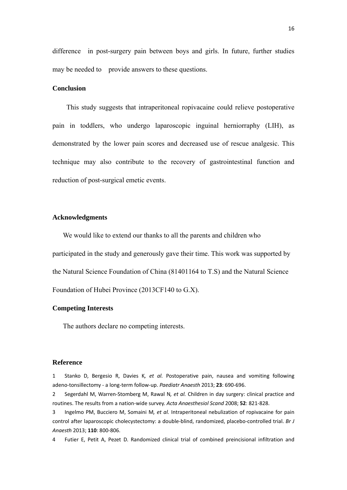difference in post-surgery pain between boys and girls. In future, further studies may be needed to provide answers to these questions.

## **Conclusion**

This study suggests that intraperitoneal ropivacaine could relieve postoperative pain in toddlers, who undergo laparoscopic inguinal herniorraphy (LIH), as demonstrated by the lower pain scores and decreased use of rescue analgesic. This technique may also contribute to the recovery of gastrointestinal function and reduction of post-surgical emetic events.

#### **Acknowledgments**

We would like to extend our thanks to all the parents and children who participated in the study and generously gave their time. This work was supported by the Natural Science Foundation of China (81401164 to T.S) and the Natural Science Foundation of Hubei Province (2013CF140 to G.X).

#### **Competing Interests**

The authors declare no competing interests.

#### **Reference**

1 Stanko D, Bergesio R, Davies K*, et al.* Postoperative pain, nausea and vomiting following adeno‐tonsillectomy ‐ a long‐term follow‐up. *Paediatr Anaesth* 2013; **23**: 690‐696.

2 Segerdahl M, Warren‐Stomberg M, Rawal N*, et al.* Children in day surgery: clinical practice and routines. The results from a nation‐wide survey. *Acta Anaesthesiol Scand* 2008; **52**: 821‐828.

3 Ingelmo PM, Bucciero M, Somaini M*, et al.* Intraperitoneal nebulization of ropivacaine for pain control after laparoscopic cholecystectomy: a double‐blind, randomized, placebo‐controlled trial. *Br J Anaesth* 2013; **110**: 800‐806.

4 Futier E, Petit A, Pezet D. Randomized clinical trial of combined preincisional infiltration and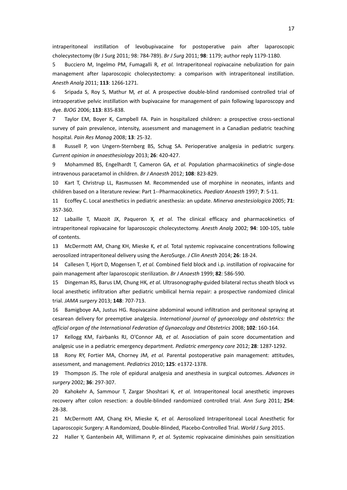intraperitoneal instillation of levobupivacaine for postoperative pain after laparoscopic cholecystectomy (Br J Surg 2011; 98: 784‐789). *Br J Surg* 2011; **98**: 1179; author reply 1179‐1180.

5 Bucciero M, Ingelmo PM, Fumagalli R*, et al.* Intraperitoneal ropivacaine nebulization for pain management after laparoscopic cholecystectomy: a comparison with intraperitoneal instillation. *Anesth Analg* 2011; **113**: 1266‐1271.

6 Sripada S, Roy S, Mathur M*, et al.* A prospective double‐blind randomised controlled trial of intraoperative pelvic instillation with bupivacaine for management of pain following laparoscopy and dye. *BJOG* 2006; **113**: 835‐838.

7 Taylor EM, Boyer K, Campbell FA. Pain in hospitalized children: a prospective cross‐sectional survey of pain prevalence, intensity, assessment and management in a Canadian pediatric teaching hospital. *Pain Res Manag* 2008; **13**: 25‐32.

8 Russell P, von Ungern‐Sternberg BS, Schug SA. Perioperative analgesia in pediatric surgery. *Current opinion in anaesthesiology* 2013; **26**: 420‐427.

9 Mohammed BS, Engelhardt T, Cameron GA*, et al.* Population pharmacokinetics of single‐dose intravenous paracetamol in children. *Br J Anaesth* 2012; **108**: 823‐829.

10 Kart T, Christrup LL, Rasmussen M. Recommended use of morphine in neonates, infants and children based on a literature review: Part 1‐‐Pharmacokinetics. *Paediatr Anaesth* 1997; **7**: 5‐11.

11 Ecoffey C. Local anesthetics in pediatric anesthesia: an update. *Minerva anestesiologica* 2005; **71**: 357‐360.

12 Labaille T, Mazoit JX, Paqueron X*, et al.* The clinical efficacy and pharmacokinetics of intraperitoneal ropivacaine for laparoscopic cholecystectomy. *Anesth Analg* 2002; **94**: 100‐105, table of contents.

13 McDermott AM, Chang KH, Mieske K*, et al.* Total systemic ropivacaine concentrations following aerosolized intraperitoneal delivery using the AeroSurge. *J Clin Anesth* 2014; **26**: 18‐24.

14 Callesen T, Hjort D, Mogensen T*, et al.* Combined field block and i.p. instillation of ropivacaine for pain management after laparoscopic sterilization. *Br J Anaesth* 1999; **82**: 586‐590.

15 Dingeman RS, Barus LM, Chung HK*, et al.* Ultrasonography‐guided bilateral rectus sheath block vs local anesthetic infiltration after pediatric umbilical hernia repair: a prospective randomized clinical trial. *JAMA surgery* 2013; **148**: 707‐713.

16 Bamigboye AA, Justus HG. Ropivacaine abdominal wound infiltration and peritoneal spraying at cesarean delivery for preemptive analgesia. *International journal of gynaecology and obstetrics: the official organ of the International Federation of Gynaecology and Obstetrics* 2008; **102**: 160‐164.

17 Kellogg KM, Fairbanks RJ, O'Connor AB*, et al.* Association of pain score documentation and analgesic use in a pediatric emergency department. *Pediatric emergency care* 2012; **28**: 1287‐1292.

18 Rony RY, Fortier MA, Chorney JM*, et al.* Parental postoperative pain management: attitudes, assessment, and management. *Pediatrics* 2010; **125**: e1372‐1378.

19 Thompson JS. The role of epidural analgesia and anesthesia in surgical outcomes. *Advances in surgery* 2002; **36**: 297‐307.

20 Kahokehr A, Sammour T, Zargar Shoshtari K*, et al.* Intraperitoneal local anesthetic improves recovery after colon resection: a double‐blinded randomized controlled trial. *Ann Surg* 2011; **254**: 28‐38.

21 McDermott AM, Chang KH, Mieske K*, et al.* Aerosolized Intraperitoneal Local Anesthetic for Laparoscopic Surgery: A Randomized, Double‐Blinded, Placebo‐Controlled Trial. *World J Surg* 2015.

22 Haller Y, Gantenbein AR, Willimann P*, et al.* Systemic ropivacaine diminishes pain sensitization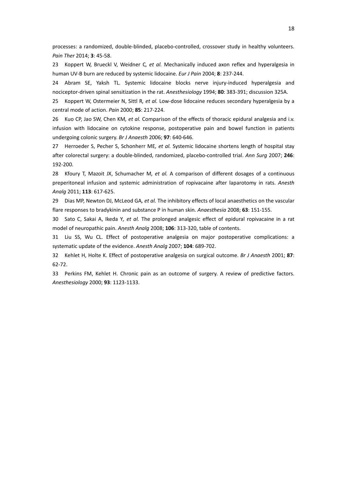processes: a randomized, double‐blinded, placebo‐controlled, crossover study in healthy volunteers. *Pain Ther* 2014; **3**: 45‐58.

23 Koppert W, Brueckl V, Weidner C*, et al.* Mechanically induced axon reflex and hyperalgesia in human UV‐B burn are reduced by systemic lidocaine. *Eur J Pain* 2004; **8**: 237‐244.

24 Abram SE, Yaksh TL. Systemic lidocaine blocks nerve injury-induced hyperalgesia and nociceptor‐driven spinal sensitization in the rat. *Anesthesiology* 1994; **80**: 383‐391; discussion 325A.

25 Koppert W, Ostermeier N, Sittl R*, et al.* Low‐dose lidocaine reduces secondary hyperalgesia by a central mode of action. *Pain* 2000; **85**: 217‐224.

26 Kuo CP, Jao SW, Chen KM*, et al.* Comparison of the effects of thoracic epidural analgesia and i.v. infusion with lidocaine on cytokine response, postoperative pain and bowel function in patients undergoing colonic surgery. *Br J Anaesth* 2006; **97**: 640‐646.

27 Herroeder S, Pecher S, Schonherr ME*, et al.* Systemic lidocaine shortens length of hospital stay after colorectal surgery: a double‐blinded, randomized, placebo‐controlled trial. *Ann Surg* 2007; **246**: 192‐200.

28 Kfoury T, Mazoit JX, Schumacher M*, et al.* A comparison of different dosages of a continuous preperitoneal infusion and systemic administration of ropivacaine after laparotomy in rats. *Anesth Analg* 2011; **113**: 617‐625.

29 Dias MP, Newton DJ, McLeod GA*, et al.* The inhibitory effects of local anaesthetics on the vascular flare responses to bradykinin and substance P in human skin. *Anaesthesia* 2008; **63**: 151‐155.

30 Sato C, Sakai A, Ikeda Y*, et al.* The prolonged analgesic effect of epidural ropivacaine in a rat model of neuropathic pain. *Anesth Analg* 2008; **106**: 313‐320, table of contents.

31 Liu SS, Wu CL. Effect of postoperative analgesia on major postoperative complications: a systematic update of the evidence. *Anesth Analg* 2007; **104**: 689‐702.

32 Kehlet H, Holte K. Effect of postoperative analgesia on surgical outcome. *Br J Anaesth* 2001; **87**: 62‐72.

33 Perkins FM, Kehlet H. Chronic pain as an outcome of surgery. A review of predictive factors. *Anesthesiology* 2000; **93**: 1123‐1133.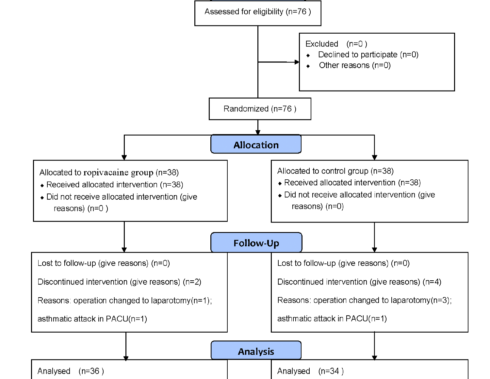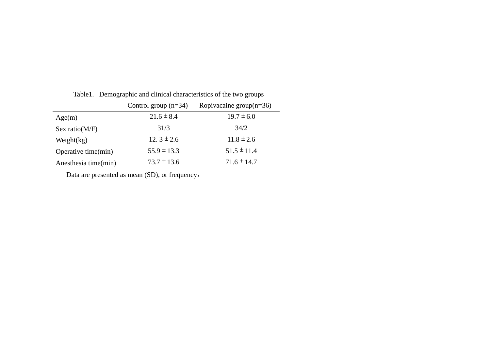| Table 1. Demographic and chineal characteristics of the two groups |                        |                            |  |  |
|--------------------------------------------------------------------|------------------------|----------------------------|--|--|
|                                                                    | Control group $(n=34)$ | Ropivacaine group $(n=36)$ |  |  |
| Age(m)                                                             | $21.6 \pm 8.4$         | $19.7 \pm 6.0$             |  |  |
| Sex ratio( $M/F$ )                                                 | 31/3                   | 34/2                       |  |  |
| Weight $(kg)$                                                      | 12. $3 \pm 2.6$        | $11.8 \pm 2.6$             |  |  |
| Operative time(min)                                                | $55.9 \pm 13.3$        | $51.5 \pm 11.4$            |  |  |
| Anesthesia time(min)                                               | $73.7 \pm 13.6$        | $71.6 \pm 14.7$            |  |  |

Table1. Demographic and clinical characteristics of the two groups

Data are presented as mean (SD), or frequency,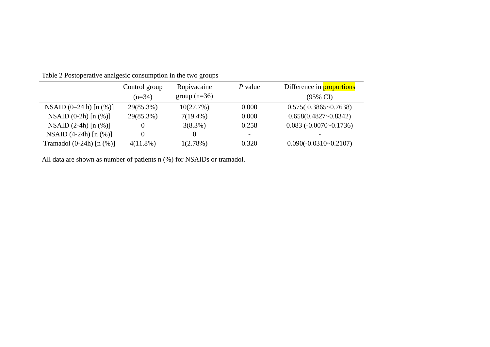|                                | Control group | Ropivacaine    | $P$ value                | Difference in <b>proportions</b> |
|--------------------------------|---------------|----------------|--------------------------|----------------------------------|
|                                | $(n=34)$      | group $(n=36)$ |                          | $(95\% \text{ CI})$              |
| NSAID $(0-24 h)$ [n $(\%)$ ]   | 29(85.3%)     | 10(27.7%)      | 0.000                    | $0.575(0.3865 \text{~} 0.7638)$  |
| NSAID $(0-2h)$ [n $(\%)$ ]     | 29(85.3%)     | $7(19.4\%)$    | 0.000                    | $0.658(0.4827 - 0.8342)$         |
| NSAID $(2-4h)$ [n $(\%)$ ]     | 0             | $3(8.3\%)$     | 0.258                    | $0.083(-0.0070-0.1736)$          |
| NSAID $(4-24h)$ [n $(\%)$ ]    | 0             |                | $\overline{\phantom{0}}$ |                                  |
| Tramadol $(0-24h)$ [n $(\%)$ ] | $4(11.8\%)$   | 1(2.78%)       | 0.320                    | $0.090(-0.0310-0.2107)$          |

Table 2 Postoperative analgesic consumption in the two groups

All data are shown as number of patients n (%) for NSAIDs or tramadol.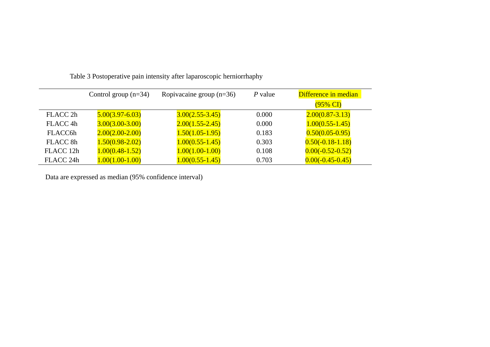|                      | Control group $(n=34)$ | Ropivacaine group $(n=36)$ | $P$ value | Difference in median |
|----------------------|------------------------|----------------------------|-----------|----------------------|
|                      |                        |                            |           | $(95\% \text{ CI})$  |
| FLACC 2h             | $5.00(3.97 - 6.03)$    | $3.00(2.55 - 3.45)$        | 0.000     | $2.00(0.87 - 3.13)$  |
| FLACC <sub>4h</sub>  | $3.00(3.00-3.00)$      | $2.00(1.55 - 2.45)$        | 0.000     | $1.00(0.55 - 1.45)$  |
| FLACC6h              | $2.00(2.00-2.00)$      | $1.50(1.05-1.95)$          | 0.183     | $0.50(0.05-0.95)$    |
| FLACC 8h             | $1.50(0.98 - 2.02)$    | $1.00(0.55 - 1.45)$        | 0.303     | $0.50(-0.18-1.18)$   |
| FLACC 12h            | $1.00(0.48 - 1.52)$    | $1.00(1.00-1.00)$          | 0.108     | $0.00(-0.52-0.52)$   |
| FLACC <sub>24h</sub> | $1.00(1.00-1.00)$      | $1.00(0.55 - 1.45)$        | 0.703     | $0.00(-0.45-0.45)$   |

Table 3 Postoperative pain intensity after laparoscopic herniorrhaphy

Data are expressed as median (95% confidence interval)